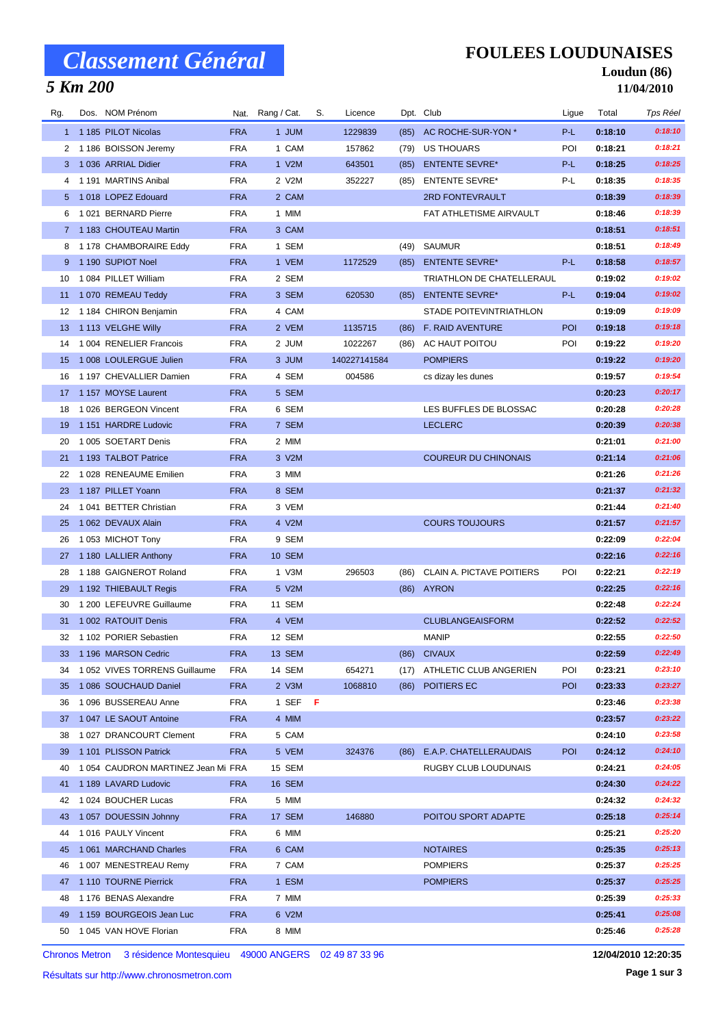# *Classement Général*

## *5 Km 200*

### **FOULEES LOUDUNAISES**

#### **Loudun (86) 11/04/2010**

| Rg. | Dos. NOM Prénom                   |            | Nat. Rang / Cat. | S. | Licence      |      | Dpt. Club                        | Ligue      | Total   | Tps Réel |
|-----|-----------------------------------|------------|------------------|----|--------------|------|----------------------------------|------------|---------|----------|
|     | 1 1185 PILOT Nicolas              | <b>FRA</b> | 1 JUM            |    | 1229839      | (85) | AC ROCHE-SUR-YON *               | P-L        | 0:18:10 | 0:18:10  |
| 2   | 1 186 BOISSON Jeremy              | <b>FRA</b> | 1 CAM            |    | 157862       | (79) | US THOUARS                       | POI        | 0:18:21 | 0:18:21  |
|     | 3 1 036 ARRIAL Didier             | <b>FRA</b> | 1 V2M            |    | 643501       | (85) | <b>ENTENTE SEVRE*</b>            | P-L        | 0:18:25 | 0:18:25  |
| 4   | 1 191 MARTINS Anibal              | <b>FRA</b> | 2 V2M            |    | 352227       | (85) | <b>ENTENTE SEVRE*</b>            | P-L        | 0:18:35 | 0:18:35  |
| 5.  | 1018 LOPEZ Edouard                | <b>FRA</b> | 2 CAM            |    |              |      | 2RD FONTEVRAULT                  |            | 0:18:39 | 0:18:39  |
| 6   | 1021 BERNARD Pierre               | <b>FRA</b> | 1 MIM            |    |              |      | FAT ATHLETISME AIRVAULT          |            | 0:18:46 | 0:18:39  |
|     | 7 1183 CHOUTEAU Martin            | <b>FRA</b> | 3 CAM            |    |              |      |                                  |            | 0:18:51 | 0:18:51  |
| 8   | 1 178 CHAMBORAIRE Eddy            | <b>FRA</b> | 1 SEM            |    |              | (49) | SAUMUR                           |            | 0:18:51 | 0:18:49  |
|     | 1 190 SUPIOT Noel                 | <b>FRA</b> | 1 VEM            |    | 1172529      | (85) | <b>ENTENTE SEVRE*</b>            | $P-L$      | 0:18:58 | 0:18:57  |
| 10  | 1084 PILLET William               | <b>FRA</b> | 2 SEM            |    |              |      | <b>TRIATHLON DE CHATELLERAUL</b> |            | 0:19:02 | 0:19:02  |
| 11  | 1 070 REMEAU Teddy                | <b>FRA</b> | 3 SEM            |    | 620530       |      | (85) ENTENTE SEVRE*              | P-L        | 0:19:04 | 0:19:02  |
| 12  | 1184 CHIRON Benjamin              | <b>FRA</b> | 4 CAM            |    |              |      | STADE POITEVINTRIATHLON          |            | 0:19:09 | 0:19:09  |
| 13  | 1 113 VELGHE Willy                | <b>FRA</b> | 2 VEM            |    | 1135715      | (86) | <b>F. RAID AVENTURE</b>          | POI        | 0:19:18 | 0:19:18  |
| 14  | 1 004 RENELIER Francois           | <b>FRA</b> | 2 JUM            |    | 1022267      | (86) | AC HAUT POITOU                   | POI        | 0:19:22 | 0:19:20  |
| 15  | 1 008 LOULERGUE Julien            | <b>FRA</b> | 3 JUM            |    | 140227141584 |      | <b>POMPIERS</b>                  |            | 0:19:22 | 0:19:20  |
| 16  | 1 197 CHEVALLIER Damien           | <b>FRA</b> | 4 SEM            |    | 004586       |      | cs dizay les dunes               |            | 0:19:57 | 0:19:54  |
| 17  | 1 157 MOYSE Laurent               | <b>FRA</b> | 5 SEM            |    |              |      |                                  |            | 0:20:23 | 0:20:17  |
| 18  | 1 026 BERGEON Vincent             | <b>FRA</b> | 6 SEM            |    |              |      | LES BUFFLES DE BLOSSAC           |            | 0:20:28 | 0:20:28  |
| 19  | 1 151 HARDRE Ludovic              | <b>FRA</b> | 7 SEM            |    |              |      | <b>LECLERC</b>                   |            | 0:20:39 | 0:20:38  |
| 20  | 1 005 SOETART Denis               | <b>FRA</b> | 2 MIM            |    |              |      |                                  |            | 0:21:01 | 0:21:00  |
| 21  | 1 193 TALBOT Patrice              | <b>FRA</b> | 3 V2M            |    |              |      | <b>COUREUR DU CHINONAIS</b>      |            | 0:21:14 | 0:21:06  |
| 22  | 1 028 RENEAUME Emilien            | <b>FRA</b> | 3 MIM            |    |              |      |                                  |            | 0:21:26 | 0:21:26  |
| 23  | 1 187 PILLET Yoann                | <b>FRA</b> | 8 SEM            |    |              |      |                                  |            | 0:21:37 | 0:21:32  |
| 24  | 1041 BETTER Christian             | <b>FRA</b> | 3 VEM            |    |              |      |                                  |            | 0:21:44 | 0:21:40  |
| 25  | 1 062 DEVAUX Alain                | <b>FRA</b> | 4 V2M            |    |              |      | <b>COURS TOUJOURS</b>            |            | 0:21:57 | 0:21:57  |
| 26  | 1053 MICHOT Tony                  | <b>FRA</b> | 9 SEM            |    |              |      |                                  |            | 0:22:09 | 0:22:04  |
| 27  | 1 180 LALLIER Anthony             | <b>FRA</b> | <b>10 SEM</b>    |    |              |      |                                  |            | 0:22:16 | 0:22:16  |
| 28  | 1 188 GAIGNEROT Roland            | <b>FRA</b> | 1 V3M            |    | 296503       | (86) | CLAIN A. PICTAVE POITIERS        | POI        | 0:22:21 | 0:22:19  |
| 29  | 1 192 THIEBAULT Regis             | <b>FRA</b> | 5 V2M            |    |              |      | (86) AYRON                       |            | 0:22:25 | 0:22:16  |
| 30  | 1 200 LEFEUVRE Guillaume          | <b>FRA</b> | 11 SEM           |    |              |      |                                  |            | 0:22:48 | 0:22:24  |
| 31  | 1 002 RATOUIT Denis               | <b>FRA</b> | 4 VEM            |    |              |      | <b>CLUBLANGEAISFORM</b>          |            | 0:22:52 | 0:22:52  |
| 32  | 1 102 PORIER Sebastien            | <b>FRA</b> | 12 SEM           |    |              |      | <b>MANIP</b>                     |            | 0:22:55 | 0:22:50  |
|     | 33 1 196 MARSON Cedric            | FRA        | 13 SEM           |    |              |      | (86) CIVAUX                      |            | 0:22:59 | 0:22:49  |
| 34  | 1 052 VIVES TORRENS Guillaume     | <b>FRA</b> | 14 SEM           |    | 654271       |      | (17) ATHLETIC CLUB ANGERIEN      | POI        | 0:23:21 | 0:23:10  |
| 35  | 1086 SOUCHAUD Daniel              | <b>FRA</b> | 2 V3M            |    | 1068810      | (86) | POITIERS EC                      | <b>POI</b> | 0:23:33 | 0:23:27  |
| 36  | 1 096 BUSSEREAU Anne              | FRA        | 1 SEF F          |    |              |      |                                  |            | 0:23:46 | 0:23:38  |
| 37  | 1 047 LE SAOUT Antoine            | <b>FRA</b> | 4 MIM            |    |              |      |                                  |            | 0:23:57 | 0:23:22  |
| 38  | 1027 DRANCOURT Clement            | <b>FRA</b> | 5 CAM            |    |              |      |                                  |            | 0:24:10 | 0:23:58  |
| 39  | 1 101 PLISSON Patrick             | <b>FRA</b> | 5 VEM            |    | 324376       | (86) | E.A.P. CHATELLERAUDAIS           | <b>POI</b> | 0:24:12 | 0:24:10  |
| 40  | 1054 CAUDRON MARTINEZ Jean Mi FRA |            | 15 SEM           |    |              |      | RUGBY CLUB LOUDUNAIS             |            | 0:24:21 | 0:24:05  |
| 41  | 1 189 LAVARD Ludovic              | <b>FRA</b> | 16 SEM           |    |              |      |                                  |            | 0:24:30 | 0:24:22  |
| 42  | 1 024 BOUCHER Lucas               | <b>FRA</b> | 5 MIM            |    |              |      |                                  |            | 0:24:32 | 0:24:32  |
| 43  | 1057 DOUESSIN Johnny              | <b>FRA</b> | 17 SEM           |    | 146880       |      | POITOU SPORT ADAPTE              |            | 0:25:18 | 0:25:14  |
| 44  | 1016 PAULY Vincent                | <b>FRA</b> | 6 MIM            |    |              |      |                                  |            | 0:25:21 | 0:25:20  |
| 45  | 1 061 MARCHAND Charles            | <b>FRA</b> | 6 CAM            |    |              |      | <b>NOTAIRES</b>                  |            | 0:25:35 | 0:25:13  |
| 46  | 1 007 MENESTREAU Remy             | <b>FRA</b> | 7 CAM            |    |              |      | <b>POMPIERS</b>                  |            | 0:25:37 | 0:25:25  |
| 47  | 1 110 TOURNE Pierrick             | <b>FRA</b> | 1 ESM            |    |              |      | <b>POMPIERS</b>                  |            | 0:25:37 | 0:25:25  |
| 48  | 1 176 BENAS Alexandre             | <b>FRA</b> | 7 MIM            |    |              |      |                                  |            | 0:25:39 | 0:25:33  |
| 49  | 1 159 BOURGEOIS Jean Luc          | <b>FRA</b> | 6 V2M            |    |              |      |                                  |            | 0:25:41 | 0:25:08  |
| 50  | 1 045 VAN HOVE Florian            | <b>FRA</b> | 8 MIM            |    |              |      |                                  |            | 0:25:46 | 0:25:28  |

Chronos Metron 3 résidence Montesquieu 49000 ANGERS 02 49 87 33 96

Résultats sur http://www.chronosmetron.com

**12/04/2010 12:20:35**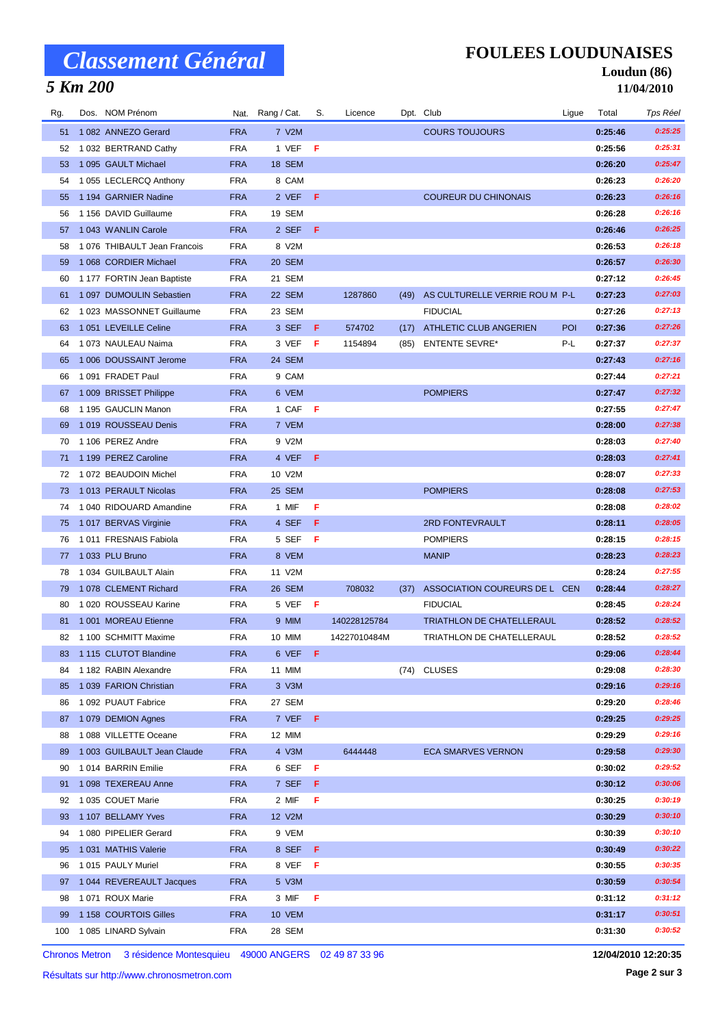# *Classement Général*

## *5 Km 200*

### **FOULEES LOUDUNAISES**

#### **Loudun (86) 11/04/2010**

| Rg. | Dos. NOM Prénom             |            | Nat. Rang / Cat. | S.  | Licence      |      | Dpt. Club                           | Ligue | Total   | Tps Réel |
|-----|-----------------------------|------------|------------------|-----|--------------|------|-------------------------------------|-------|---------|----------|
| 51  | 1082 ANNEZO Gerard          | <b>FRA</b> | 7 V2M            |     |              |      | <b>COURS TOUJOURS</b>               |       | 0:25:46 | 0:25:25  |
| 52  | 1 032 BERTRAND Cathy        | <b>FRA</b> | 1 VEF            | F   |              |      |                                     |       | 0:25:56 | 0:25:31  |
| 53  | 1 095 GAULT Michael         | <b>FRA</b> | 18 SEM           |     |              |      |                                     |       | 0:26:20 | 0:25:47  |
| 54  | 1 055 LECLERCQ Anthony      | <b>FRA</b> | 8 CAM            |     |              |      |                                     |       | 0:26:23 | 0:26:20  |
| 55  | 1 194 GARNIER Nadine        | <b>FRA</b> | 2 VEF            | F.  |              |      | <b>COUREUR DU CHINONAIS</b>         |       | 0:26:23 | 0:26:16  |
| 56  | 1 156 DAVID Guillaume       | <b>FRA</b> | 19 SEM           |     |              |      |                                     |       | 0:26:28 | 0:26:16  |
| 57  | 1043 WANLIN Carole          | <b>FRA</b> | 2 SEF            | F   |              |      |                                     |       | 0:26:46 | 0:26:25  |
| 58  | 1076 THIBAULT Jean Francois | <b>FRA</b> | 8 V2M            |     |              |      |                                     |       | 0:26:53 | 0:26:18  |
| 59  | 1068 CORDIER Michael        | <b>FRA</b> | 20 SEM           |     |              |      |                                     |       | 0:26:57 | 0:26:30  |
| 60  | 1 177 FORTIN Jean Baptiste  | <b>FRA</b> | 21 SEM           |     |              |      |                                     |       | 0:27:12 | 0:26:45  |
| 61  | 1 097 DUMOULIN Sebastien    | <b>FRA</b> | 22 SEM           |     | 1287860      |      | (49) AS CULTURELLE VERRIE ROU M P-L |       | 0:27:23 | 0:27:03  |
| 62  | 1023 MASSONNET Guillaume    | <b>FRA</b> | 23 SEM           |     |              |      | <b>FIDUCIAL</b>                     |       | 0:27:26 | 0:27:13  |
| 63  | 1051 LEVEILLE Celine        | <b>FRA</b> | 3 SEF            | F.  | 574702       | (17) | ATHLETIC CLUB ANGERIEN              | POI   | 0:27:36 | 0:27:26  |
| 64  | 1073 NAULEAU Naima          | <b>FRA</b> | 3 VEF            | - F | 1154894      | (85) | <b>ENTENTE SEVRE*</b>               | P-L   | 0:27:37 | 0:27:37  |
| 65  | 1 006 DOUSSAINT Jerome      | <b>FRA</b> | 24 SEM           |     |              |      |                                     |       | 0:27:43 | 0:27:16  |
| 66  | 1091 FRADET Paul            | <b>FRA</b> | 9 CAM            |     |              |      |                                     |       | 0:27:44 | 0:27:21  |
| 67  | 1 009 BRISSET Philippe      | <b>FRA</b> | 6 VEM            |     |              |      | <b>POMPIERS</b>                     |       | 0:27:47 | 0:27:32  |
| 68  | 1 195 GAUCLIN Manon         | <b>FRA</b> | 1 CAF F          |     |              |      |                                     |       | 0:27:55 | 0:27:47  |
| 69  | 1019 ROUSSEAU Denis         | <b>FRA</b> | 7 VEM            |     |              |      |                                     |       | 0:28:00 | 0:27:38  |
| 70  | 1 106 PEREZ Andre           | <b>FRA</b> | 9 V2M            |     |              |      |                                     |       | 0:28:03 | 0:27:40  |
| 71  | 1 199 PEREZ Caroline        | <b>FRA</b> | 4 VEF            | F   |              |      |                                     |       | 0:28:03 | 0:27:41  |
| 72  | 1 072 BEAUDOIN Michel       | <b>FRA</b> | 10 V2M           |     |              |      |                                     |       | 0:28:07 | 0:27:33  |
| 73  | 1013 PERAULT Nicolas        | <b>FRA</b> | 25 SEM           |     |              |      | <b>POMPIERS</b>                     |       | 0:28:08 | 0:27:53  |
| 74  | 1 040 RIDOUARD Amandine     | <b>FRA</b> | 1 MIF            | F   |              |      |                                     |       | 0:28:08 | 0:28:02  |
| 75  | 1017 BERVAS Virginie        | <b>FRA</b> | 4 SEF            | F   |              |      | 2RD FONTEVRAULT                     |       | 0:28:11 | 0:28:05  |
| 76  | 1011 FRESNAIS Fabiola       | <b>FRA</b> | 5 SEF            | F   |              |      | <b>POMPIERS</b>                     |       | 0:28:15 | 0:28:15  |
| 77  | 1033 PLU Bruno              | <b>FRA</b> | 8 VEM            |     |              |      | <b>MANIP</b>                        |       | 0:28:23 | 0:28:23  |
| 78  | 1 034 GUILBAULT Alain       | <b>FRA</b> | 11 V2M           |     |              |      |                                     |       | 0:28:24 | 0:27:55  |
| 79  | 1078 CLEMENT Richard        | <b>FRA</b> | 26 SEM           |     | 708032       | (37) | ASSOCIATION COUREURS DE L CEN       |       | 0:28:44 | 0:28:27  |
| 80  | 1020 ROUSSEAU Karine        | <b>FRA</b> | 5 VEF            | -F  |              |      | <b>FIDUCIAL</b>                     |       | 0:28:45 | 0:28:24  |
| 81  | 1 001 MOREAU Etienne        | <b>FRA</b> | 9 MIM            |     | 140228125784 |      | TRIATHLON DE CHATELLERAUL           |       | 0:28:52 | 0:28:52  |
| 82  | 1 100 SCHMITT Maxime        | <b>FRA</b> | 10 MIM           |     | 14227010484M |      | TRIATHLON DE CHATELLERAUL           |       | 0:28:52 | 0:28:52  |
|     | 83 1115 CLUTOT Blandine     | <b>FRA</b> | 6 VEF F          |     |              |      |                                     |       | 0:29:06 | 0:28:44  |
|     | 84 1 182 RABIN Alexandre    | <b>FRA</b> | 11 MIM           |     |              |      | (74) CLUSES                         |       | 0:29:08 | 0:28:30  |
| 85  | 1039 FARION Christian       | <b>FRA</b> | 3 V3M            |     |              |      |                                     |       | 0:29:16 | 0:29:16  |
| 86  | 1 092 PUAUT Fabrice         | <b>FRA</b> | 27 SEM           |     |              |      |                                     |       | 0:29:20 | 0:28:46  |
| 87  | 1079 DEMION Agnes           | <b>FRA</b> | 7 VEF F          |     |              |      |                                     |       | 0:29:25 | 0:29:25  |
| 88  | 1088 VILLETTE Oceane        | <b>FRA</b> | 12 MIM           |     |              |      |                                     |       | 0:29:29 | 0:29:16  |
| 89  | 1 003 GUILBAULT Jean Claude | <b>FRA</b> | 4 V3M            |     | 6444448      |      | <b>ECA SMARVES VERNON</b>           |       | 0:29:58 | 0:29:30  |
| 90  | 1014 BARRIN Emilie          | <b>FRA</b> | 6 SEF            | F   |              |      |                                     |       | 0:30:02 | 0:29:52  |
| 91  | 1098 TEXEREAU Anne          | <b>FRA</b> | 7 SEF            | F.  |              |      |                                     |       | 0:30:12 | 0:30:06  |
| 92  | 1 035 COUET Marie           | <b>FRA</b> | 2 MIF            | F   |              |      |                                     |       | 0:30:25 | 0:30:19  |
| 93  | 1 107 BELLAMY Yves          | <b>FRA</b> | 12 V2M           |     |              |      |                                     |       | 0:30:29 | 0:30:10  |
| 94  | 1080 PIPELIER Gerard        | <b>FRA</b> | 9 VEM            |     |              |      |                                     |       | 0:30:39 | 0:30:10  |
| 95  | 1031 MATHIS Valerie         | <b>FRA</b> | 8 SEF F          |     |              |      |                                     |       | 0:30:49 | 0:30:22  |
| 96  | 1015 PAULY Muriel           | <b>FRA</b> | 8 VEF            | F   |              |      |                                     |       | 0:30:55 | 0:30:35  |
| 97  | 1 044 REVEREAULT Jacques    | <b>FRA</b> | 5 V3M            |     |              |      |                                     |       | 0:30:59 | 0:30:54  |
| 98  | 1071 ROUX Marie             | <b>FRA</b> | 3 MIF            | F   |              |      |                                     |       | 0:31:12 | 0:31:12  |
| 99  | 1 158 COURTOIS Gilles       | <b>FRA</b> | <b>10 VEM</b>    |     |              |      |                                     |       | 0:31:17 | 0:30:51  |
| 100 | 1085 LINARD Sylvain         | <b>FRA</b> | 28 SEM           |     |              |      |                                     |       | 0:31:30 | 0:30:52  |

Chronos Metron 3 résidence Montesquieu 49000 ANGERS 02 49 87 33 96

**12/04/2010 12:20:35**